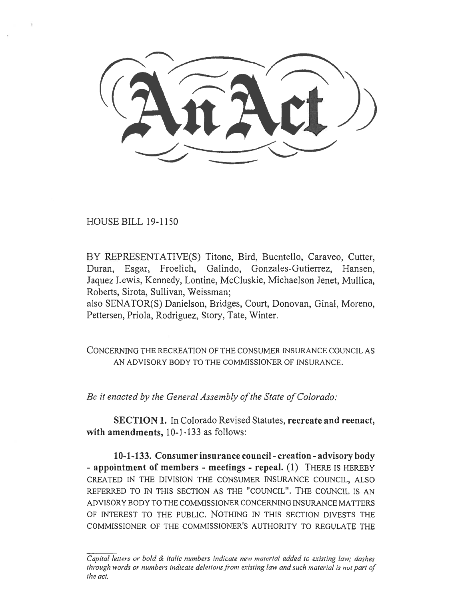HOUSE BILL 19-1150

BY REPRESENTATIVE(S) Titone, Bird, Buentello, Caraveo, Cutter, Duran, Esgar, Froelich, Galindo, Gonzales-Gutierrez, Hansen, Jaquez Lewis, Kennedy, Lontine, McCluskie, Michaelson Jenet, Mullica, Roberts, Sirota, Sullivan, Weissman;

also SENATOR(S) Danielson, Bridges, Court, Donovan, Ginal, Moreno, Pettersen, Priola, Rodriguez, Story, Tate, Winter.

CONCERNING THE RECREATION OF THE CONSUMER INSURANCE COUNCIL AS AN ADVISORY BODY TO THE COMMISSIONER OF INSURANCE.

*Be it enacted by the General Assembly of the State of Colorado:* 

**SECTION 1.** In Colorado Revised Statutes, **recreate and reenact, with amendments,** 10-1-133 as follows:

**10-1-133. Consumer insurance council - creation - advisory body - appointment of members - meetings - repeal. (1)** THERE IS HEREBY CREATED IN THE DIVISION THE CONSUMER INSURANCE COUNCIL, ALSO REFERRED TO IN THIS SECTION AS THE "COUNCIL". THE COUNCIL IS AN ADVISORY BODY TO THE COMMISSIONER CONCERNING INSURANCE MATTERS OF INTEREST TO THE PUBLIC. NOTHING IN THIS SECTION DIVESTS THE COMMISSIONER OF THE COMMISSIONER'S AUTHORITY TO REGULATE THE

*Capital letters or bold & italic numbers indicate new material added to existing law; dashes through words or numbers indicate deletions from existing law and such material is not part of the act.*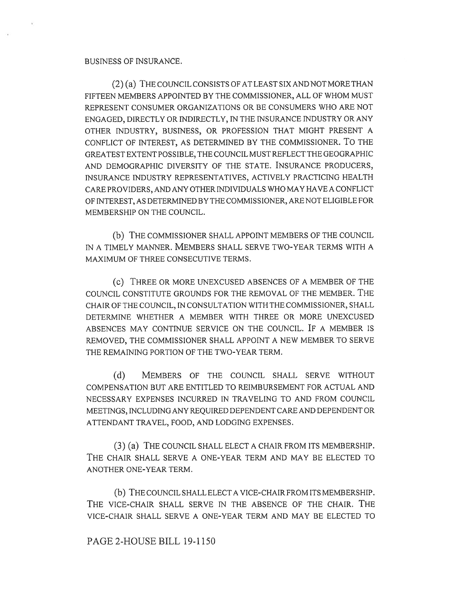## BUSINESS OF INSURANCE.

(2) (a) THE COUNCIL CONSISTS OF AT LEAST SIX AND NOT MORE THAN FIFTEEN MEMBERS APPOINTED BY THE COMMISSIONER, ALL OF WHOM MUST REPRESENT CONSUMER ORGANIZATIONS OR BE CONSUMERS WHO ARE NOT ENGAGED, DIRECTLY OR INDIRECTLY, IN THE INSURANCE INDUSTRY OR ANY OTHER INDUSTRY, BUSINESS, OR PROFESSION THAT MIGHT PRESENT A CONFLICT OF INTEREST, AS DETERMINED BY THE COMMISSIONER. To THE GREATEST EXTENT POSSIBLE, THE COUNCIL MUST REFLECT THE GEOGRAPHIC AND DEMOGRAPHIC DIVERSITY OF THE STATE. INSURANCE PRODUCERS, INSURANCE INDUSTRY REPRESENTATIVES, ACTIVELY PRACTICING HEALTH CARE PROVIDERS, AND ANY OTHER INDIVIDUALS WHO MAY HAVE A CONFLICT OF INTEREST, AS DETERMINED BY THE COMMISSIONER, ARE NOT ELIGIBLE FOR MEMBERSHIP ON THE COUNCIL.

(b) THE COMMISSIONER SHALL APPOINT MEMBERS OF THE COUNCIL IN A TIMELY MANNER. MEMBERS SHALL SERVE TWO-YEAR TERMS WITH A MAXIMUM OF THREE CONSECUTIVE TERMS.

(C) THREE OR MORE UNEXCUSED ABSENCES OF A MEMBER OF THE COUNCIL CONSTITUTE GROUNDS FOR THE REMOVAL OF THE MEMBER. THE CHAIR OF THE COUNCIL, IN CONSULTATION WITH THE COMMISSIONER, SHALL DETERMINE WHETHER A MEMBER WITH THREE OR MORE UNEXCUSED ABSENCES MAY CONTINUE SERVICE ON THE COUNCIL. IF A MEMBER IS REMOVED, THE COMMISSIONER SHALL APPOINT A NEW MEMBER TO SERVE THE REMAINING PORTION OF THE TWO-YEAR TERM.

(d) MEMBERS OF THE COUNCIL SHALL SERVE WITHOUT COMPENSATION BUT ARE ENTITLED TO REIMBURSEMENT FOR ACTUAL AND NECESSARY EXPENSES INCURRED IN TRAVELING TO AND FROM COUNCIL MEETINGS, INCLUDING ANY REQUIRED DEPENDENT CARE AND DEPENDENT OR ATTENDANT TRAVEL, FOOD, AND LODGING EXPENSES.

(3) (a) THE COUNCIL SHALL ELECT A CHAIR FROM ITS MEMBERSHIP. THE CHAIR SHALL SERVE A ONE-YEAR TERM AND MAY BE ELECTED TO ANOTHER ONE-YEAR TERM.

(b) THE COUNCIL SHALL ELECT A VICE-CHAIR FROM ITS MEMBERSHIP. THE VICE-CHAIR SHALL SERVE IN THE ABSENCE OF THE CHAIR. THE VICE-CHAIR SHALL SERVE A ONE-YEAR TERM AND MAY BE ELECTED TO

## PAGE 2-HOUSE BILL 19-1150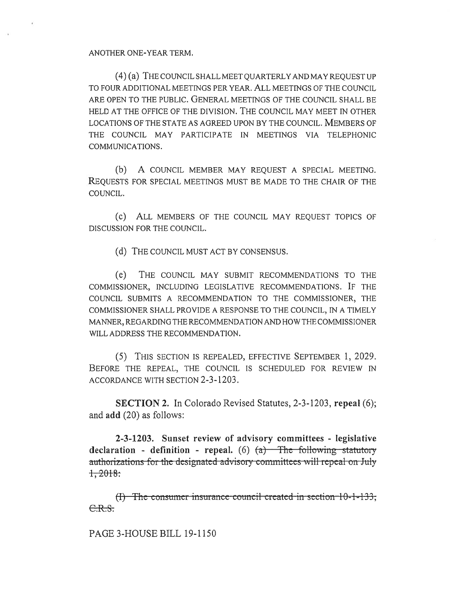## ANOTHER ONE-YEAR TERM.

(4) (a) THE COUNCIL SHALL MEET QUARTERLY AND MAY REQUEST UP TO FOUR ADDITIONAL MEETINGS PER YEAR. ALL MEETINGS OF THE COUNCIL ARE OPEN TO THE PUBLIC. GENERAL MEETINGS OF THE COUNCIL SHALL BE HELD AT THE OFFICE OF THE DIVISION. THE COUNCIL MAY MEET IN OTHER LOCATIONS OF THE STATE AS AGREED UPON BY THE COUNCIL. MEMBERS OF THE COUNCIL MAY PARTICIPATE IN MEETINGS VIA TELEPHONIC COMMUNICATIONS.

(b) A COUNCIL MEMBER MAY REQUEST A SPECIAL MEETING. REQUESTS FOR SPECIAL MEETINGS MUST BE MADE TO THE CHAIR OF THE COUNCIL.

(c) ALL MEMBERS OF THE COUNCIL MAY REQUEST TOPICS OF DISCUSSION FOR THE COUNCIL.

(d) THE COUNCIL MUST ACT BY CONSENSUS.

(e) THE COUNCIL MAY SUBMIT RECOMMENDATIONS TO THE COMMISSIONER, INCLUDING LEGISLATIVE RECOMMENDATIONS. IF THE COUNCIL SUBMITS A RECOMMENDATION TO THE COMMISSIONER, THE COMMISSIONER SHALL PROVIDE A RESPONSE TO THE COUNCIL, IN A TIMELY MANNER, REGARDING THE RECOMMENDATION AND HOW THE COMMISSIONER WILL ADDRESS THE RECOMMENDATION.

(5) THIS SECTION IS REPEALED, EFFECTIVE SEPTEMBER 1, 2029. BEFORE THE REPEAL, THE COUNCIL IS SCHEDULED FOR REVIEW IN ACCORDANCE WITH SECTION 2-3-1203.

**SECTION 2.** In Colorado Revised Statutes, 2-3-1203, **repeal** (6); and **add** (20) as follows:

**2-3-1203. Sunset review of advisory committees - legislative**  declaration - definition - repeal. (6)  $(a)$  The following statutory  $\alpha$  authorizations for the designated advisory committees will repeal on July  $1,2018$ :

 $(H)$  The consumer insurance council created in section  $10-1-133$ ; C.R.S.

PAGE 3-HOUSE BILL 19-1150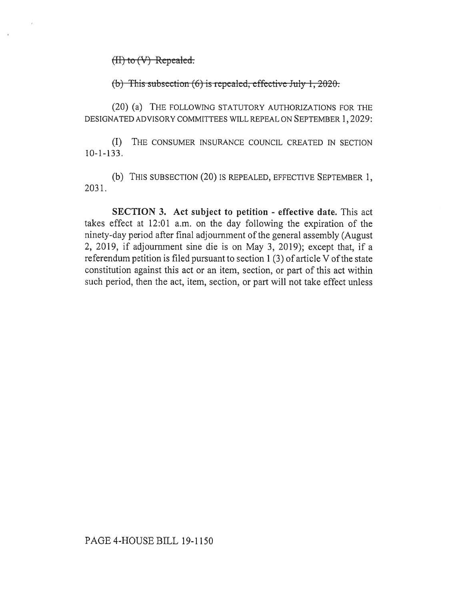$(H)$  to  $(V)$  Repealed.

(b) This subsection (6) is repealed, effective July 1, 2020.

(20) (a) THE FOLLOWING STATUTORY AUTHORIZATIONS FOR THE DESIGNATED ADVISORY COMMITTEES WILL REPEAL ON SEPTEMBER 1, 2029:

(I) THE CONSUMER INSURANCE COUNCIL CREATED IN SECTION 10-1-133.

(b) THIS SUBSECTION (20) IS REPEALED, EFFECTIVE SEPTEMBER 1, 2031.

**SECTION 3. Act subject to petition - effective date.** This act takes effect at 12:01 a.m. on the day following the expiration of the ninety-day period after final adjournment of the general assembly (August 2, 2019, if adjournment sine die is on May 3, 2019); except that, if a referendum petition is filed pursuant to section 1 (3) of article V of the state constitution against this act or an item, section, or part of this act within such period, then the act, item, section, or part will not take effect unless